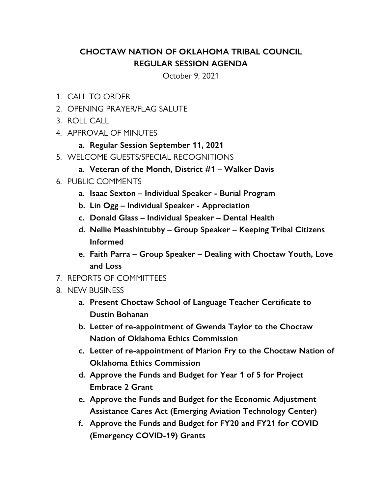## **CHOCTAW NATION OF OKLAHOMA TRIBAL COUNCIL REGULAR SESSION AGENDA**

October 9, 2021

- 1. CALL TO ORDER
- 2. OPENING PRAYER/FLAG SALUTE
- 3. ROLL CALL
- 4. APPROVAL OF MINUTES
	- **a. Regular Session September 11, 2021**
- 5. WELCOME GUESTS/SPECIAL RECOGNITIONS
	- **a. Veteran of the Month, District #1 Walker Davis**
- 6. PUBLIC COMMENTS
	- **a. Isaac Sexton Individual Speaker Burial Program**
	- **b. Lin Ogg Individual Speaker Appreciation**
	- **c. Donald Glass Individual Speaker Dental Health**
	- **d. Nellie Meashintubby Group Speaker Keeping Tribal Citizens Informed**
	- **e. Faith Parra Group Speaker Dealing with Choctaw Youth, Love and Loss**
- 7. REPORTS OF COMMITTEES
- 8. NEW BUSINESS
	- **a. Present Choctaw School of Language Teacher Certificate to Dustin Bohanan**
	- **b. Letter of re-appointment of Gwenda Taylor to the Choctaw Nation of Oklahoma Ethics Commission**
	- **c. Letter of re-appointment of Marion Fry to the Choctaw Nation of Oklahoma Ethics Commission**
	- **d. Approve the Funds and Budget for Year 1 of 5 for Project Embrace 2 Grant**
	- **e. Approve the Funds and Budget for the Economic Adjustment Assistance Cares Act (Emerging Aviation Technology Center)**
	- **f. Approve the Funds and Budget for FY20 and FY21 for COVID (Emergency COVID-19) Grants**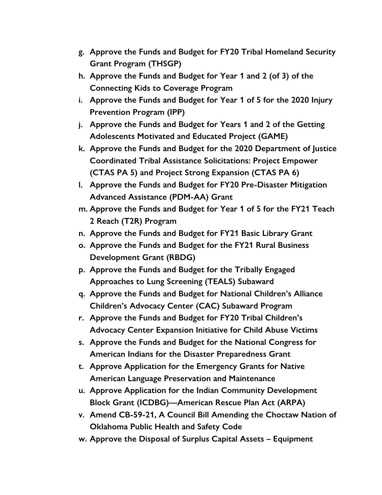- **g. Approve the Funds and Budget for FY20 Tribal Homeland Security Grant Program (THSGP)**
- **h. Approve the Funds and Budget for Year 1 and 2 (of 3) of the Connecting Kids to Coverage Program**
- **i. Approve the Funds and Budget for Year 1 of 5 for the 2020 Injury Prevention Program (IPP)**
- **j. Approve the Funds and Budget for Years 1 and 2 of the Getting Adolescents Motivated and Educated Project (GAME)**
- **k. Approve the Funds and Budget for the 2020 Department of Justice Coordinated Tribal Assistance Solicitations: Project Empower (CTAS PA 5) and Project Strong Expansion (CTAS PA 6)**
- **l. Approve the Funds and Budget for FY20 Pre-Disaster Mitigation Advanced Assistance (PDM-AA) Grant**
- **m. Approve the Funds and Budget for Year 1 of 5 for the FY21 Teach 2 Reach (T2R) Program**
- **n. Approve the Funds and Budget for FY21 Basic Library Grant**
- **o. Approve the Funds and Budget for the FY21 Rural Business Development Grant (RBDG)**
- **p. Approve the Funds and Budget for the Tribally Engaged Approaches to Lung Screening (TEALS) Subaward**
- **q. Approve the Funds and Budget for National Children's Alliance Children's Advocacy Center (CAC) Subaward Program**
- **r. Approve the Funds and Budget for FY20 Tribal Children's Advocacy Center Expansion Initiative for Child Abuse Victims**
- **s. Approve the Funds and Budget for the National Congress for American Indians for the Disaster Preparedness Grant**
- **t. Approve Application for the Emergency Grants for Native American Language Preservation and Maintenance**
- **u. Approve Application for the Indian Community Development Block Grant (ICDBG)—American Rescue Plan Act (ARPA)**
- **v. Amend CB-59-21, A Council Bill Amending the Choctaw Nation of Oklahoma Public Health and Safety Code**
- **w. Approve the Disposal of Surplus Capital Assets Equipment**